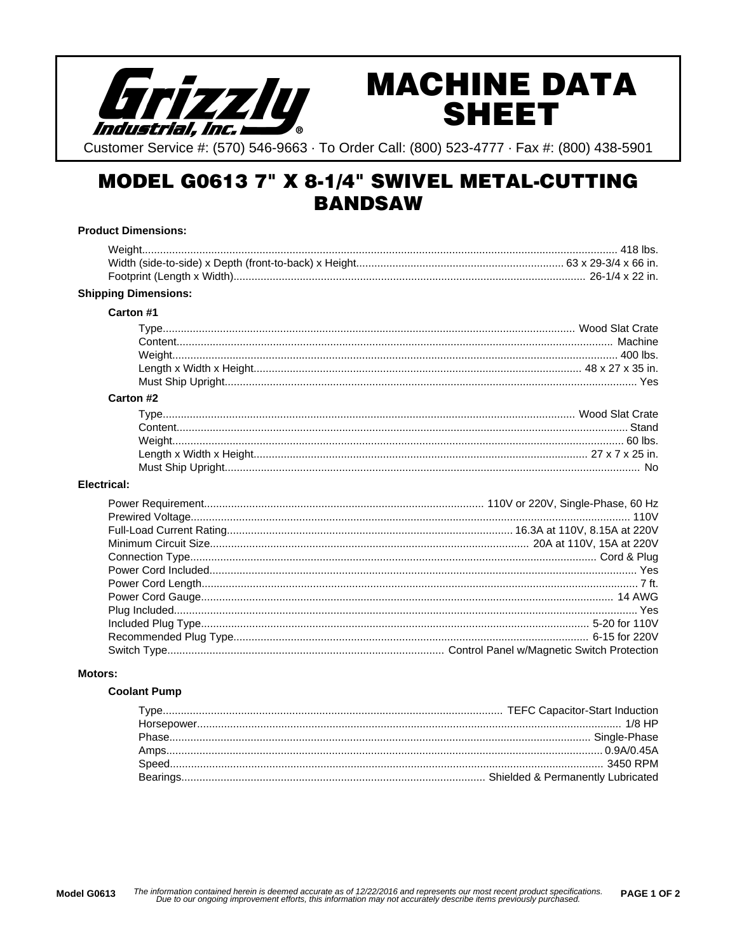

# **MACHINE DATA SHEET**

Customer Service #: (570) 546-9663 · To Order Call: (800) 523-4777 · Fax #: (800) 438-5901

# **MODEL G0613 7" X 8-1/4" SWIVEL METAL-CUTTING BANDSAW**

# **Product Dimensions: Shipping Dimensions:** Carton #1 Carton #2 **Electrical:**

#### **Motors:**

#### **Coolant Pump**